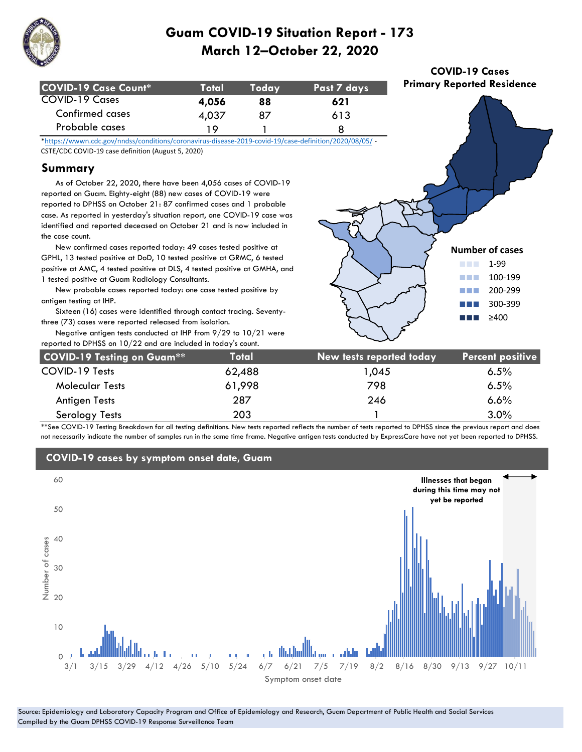

| COVID-19 Case Count* | <b>Total</b> | Todav | Past 7 days |
|----------------------|--------------|-------|-------------|
| COVID-19 Cases       | 4,056        | 88    | 621         |
| Confirmed cases      | 4,037        | 87    | 613         |
| Probable cases       | 1 Q          |       |             |

**COVID-19 Cases Primary Reported Residence**

> **Number of cases** ■■■ 1-99 ■■■ 100-199 ■■■ 200-299 ■■■ 300-399  $>400$

\*https://wwwn.cdc.gov/nndss/conditions/coronavirus-disease-2019-covid-19/case-definition/2020/08/05/ - CSTE/CDC COVID-19 case definition (August 5, 2020)

### **Summary**

 As of October 22, 2020, there have been 4,056 cases of COVID-19 reported on Guam. Eighty-eight (88) new cases of COVID-19 were reported to DPHSS on October 21: 87 confirmed cases and 1 probable case. As reported in yesterday's situation report, one COVID-19 case was identified and reported deceased on October 21 and is now included in the case count.

 New confirmed cases reported today: 49 cases tested positive at GPHL, 13 tested positive at DoD, 10 tested positive at GRMC, 6 tested positive at AMC, 4 tested positive at DLS, 4 tested positive at GMHA, and 1 tested positive at Guam Radiology Consultants.

 New probable cases reported today: one case tested positive by antigen testing at IHP.

 Sixteen (16) cases were identified through contact tracing. Seventythree (73) cases were reported released from isolation.

| three (73) cases were reported released from isolation.<br>Negative antigen tests conducted at IHP from $9/29$ to $10/21$ were<br>reported to DPHSS on 10/22 and are included in today's count. |        | $\sim$                   |                         |  |
|-------------------------------------------------------------------------------------------------------------------------------------------------------------------------------------------------|--------|--------------------------|-------------------------|--|
| <b>COVID-19 Testing on Guam**</b>                                                                                                                                                               | Total  | New tests reported today | <b>Percent positive</b> |  |
| COVID-19 Tests                                                                                                                                                                                  | 62,488 | 1,045                    | 6.5%                    |  |
| <b>Molecular Tests</b>                                                                                                                                                                          | 61,998 | 798                      | 6.5%                    |  |
| Antigen Tests                                                                                                                                                                                   | 287    | 246                      | 6.6%                    |  |
| Serology Tests                                                                                                                                                                                  | 203    |                          | 3.0%                    |  |

\*\*See COVID-19 Testing Breakdown for all testing definitions. New tests reported reflects the number of tests reported to DPHSS since the previous report and does not necessarily indicate the number of samples run in the same time frame. Negative antigen tests conducted by ExpressCare have not yet been reported to DPHSS.

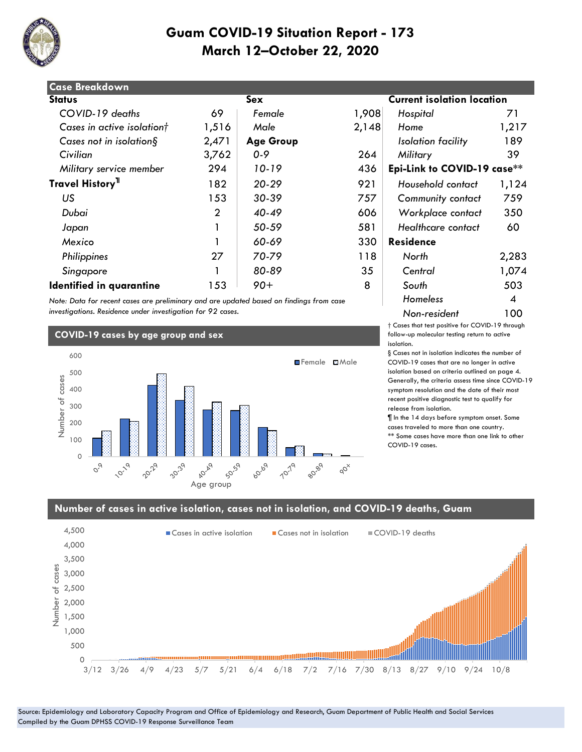

|                | Sex              |       | <b>Current isolation location</b> |       |
|----------------|------------------|-------|-----------------------------------|-------|
| 69             | Female           | 1,908 | Hospital                          | 71    |
| 1,516          | Male             | 2,148 | Home                              | 1,217 |
| 2,471          | <b>Age Group</b> |       | Isolation facility                | 189   |
| 3,762          | $0 - 9$          | 264   | Military                          | 39    |
| 294            | 10-19            | 436   | Epi-Link to COVID-19 case**       |       |
| 182            | $20 - 29$        | 921   | Household contact                 | 1,124 |
| 153            | $30 - 39$        | 757   | <b>Community contact</b>          | 759   |
| $\overline{2}$ | $40 - 49$        | 606   | Workplace contact                 | 350   |
|                | 50-59            | 581   | Healthcare contact                | 60    |
|                | 60-69            | 330   | <b>Residence</b>                  |       |
| 27             | 70-79            | 118   | North                             | 2,283 |
|                | 80-89            | 35    | Central                           | 1,074 |
| 153            | $90+$            | 8     | South                             | 503   |
|                |                  |       |                                   |       |

*Note: Data for recent cases are preliminary and are updated based on findings from case investigations. Residence under investigation for 92 cases.*

#### **COVID-19 cases by age group and sex**



# **Status Sex Current isolation location**  *Military service member* 294 *10-19* 436 **Epi-Link to COVID-19 case\*\*** *Homeless* 4 *Non-resident* 100

† Cases that test positive for COVID-19 through follow-up molecular testing return to active isolation.

§ Cases not in isolation indicates the number of COVID-19 cases that are no longer in active isolation based on criteria outlined on page 4. Generally, the criteria assess time since COVID-19 symptom resolution and the date of their most recent positive diagnostic test to qualify for release from isolation.

¶ In the 14 days before symptom onset. Some cases traveled to more than one country. \*\* Some cases have more than one link to other COVID-19 cases.

#### **Number of cases in active isolation, cases not in isolation, and COVID-19 deaths, Guam**

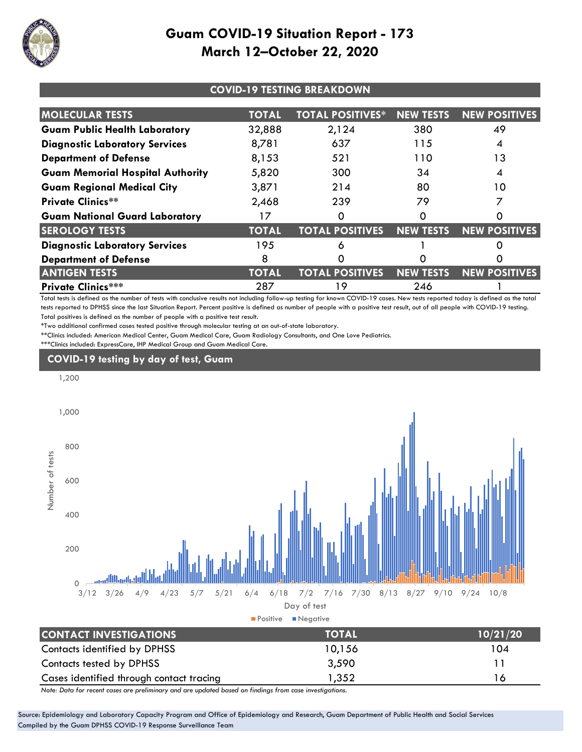

| <b>COVID-19 TESTING BREAKDOWN</b>       |              |                         |                  |                      |  |  |
|-----------------------------------------|--------------|-------------------------|------------------|----------------------|--|--|
| <b>MOLECULAR TESTS</b>                  | <b>TOTAL</b> | <b>TOTAL POSITIVES*</b> | <b>NEW TESTS</b> | <b>NEW POSITIVES</b> |  |  |
| <b>Guam Public Health Laboratory</b>    | 32,888       | 2,124                   | 380              | 49                   |  |  |
| <b>Diagnostic Laboratory Services</b>   | 8,781        | 637                     | 115              | 4                    |  |  |
| <b>Department of Defense</b>            | 8,153        | 521                     | 110              | 13                   |  |  |
| <b>Guam Memorial Hospital Authority</b> | 5,820        | 300                     | 34               |                      |  |  |
| <b>Guam Regional Medical City</b>       | 3,871        | 214                     | 80               | 10                   |  |  |
| <b>Private Clinics**</b>                | 2,468        | 239                     | 79               |                      |  |  |
| <b>Guam National Guard Laboratory</b>   | 17           | Ω                       | ი                | O                    |  |  |
| <b>SEROLOGY TESTS</b>                   | <b>TOTAL</b> | <b>TOTAL POSITIVES</b>  | <b>NEW TESTS</b> | <b>NEW POSITIVES</b> |  |  |
| <b>Diagnostic Laboratory Services</b>   | 195          | δ                       |                  |                      |  |  |
| <b>Department of Defense</b>            | 8            |                         |                  |                      |  |  |
| <b>ANTIGEN TESTS</b>                    | <b>TOTAL</b> | <b>TOTAL POSITIVES</b>  | <b>NEW TESTS</b> | <b>NEW POSITIVES</b> |  |  |
| <b>Private Clinics***</b>               | 287          | 19                      | 246              |                      |  |  |

Total tests is defined as the number of tests with conclusive results not including follow-up testing for known COVID-19 cases. New tests reported today is defined as the total tests reported to DPHSS since the last Situation Report. Percent positive is defined as number of people with a positive test result, out of all people with COVID-19 testing. Total positives is defined as the number of people with a positive test result.

\*Two additional confirmed cases tested positive through molecular testing at an out-of-state laboratory.

\*\*Clinics included: American Medical Center, Guam Medical Care, Guam Radiology Consultants, and One Love Pediatrics.

\*\*\*Clinics included: ExpressCare, IHP Medical Group and Guam Medical Care.

## **COVID-19 testing by day of test, Guam**



*Note: Data for recent cases are preliminary and are updated based on findings from case investigations.*

Source: Epidemiology and Laboratory Capacity Program and Office of Epidemiology and Research, Guam Department of Public Health and Social Services Compiled by the Guam DPHSS COVID-19 Response Surveillance Team

Cases identified through contact tracing 1,352 16